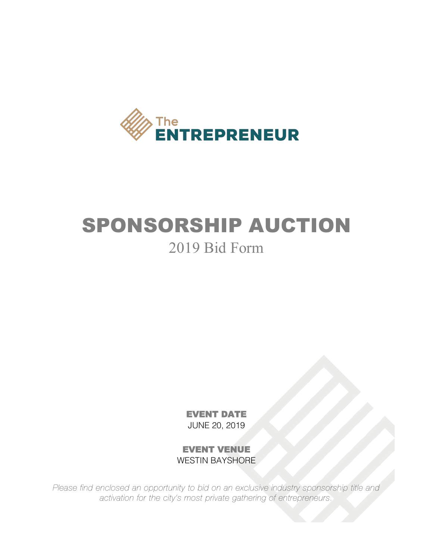

### SPONSORSHIP AUCTION 2019 Bid Form

EVENT DATE JUNE 20, 2019

EVENT VENUE WESTIN BAYSHORE

*Please find enclosed an opportunity to bid on an exclusive industry sponsorship title and activation for the city's most private gathering of entrepreneurs.*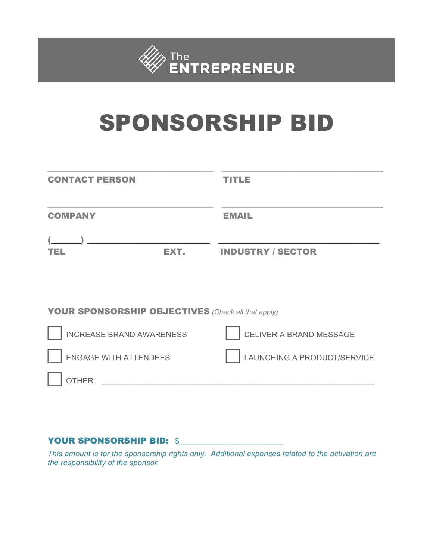

# SPONSORSHIP BID

| <b>CONTACT PERSON</b>                                     | TITLE                       |
|-----------------------------------------------------------|-----------------------------|
| <b>COMPANY</b>                                            | <b>EMAIL</b>                |
| EXT.<br>TEL                                               | <b>INDUSTRY / SECTOR</b>    |
|                                                           |                             |
| <b>YOUR SPONSORSHIP OBJECTIVES</b> (Check all that apply) |                             |
| <b>INCREASE BRAND AWARENESS</b>                           | DELIVER A BRAND MESSAGE     |
| <b>ENGAGE WITH ATTENDEES</b>                              | LAUNCHING A PRODUCT/SERVICE |
| <b>OTHER</b>                                              |                             |

#### YOUR SPONSORSHIP BID: \$

*This amount is for the sponsorship rights only. Additional expenses related to the activation are the responsibility of the sponsor.*